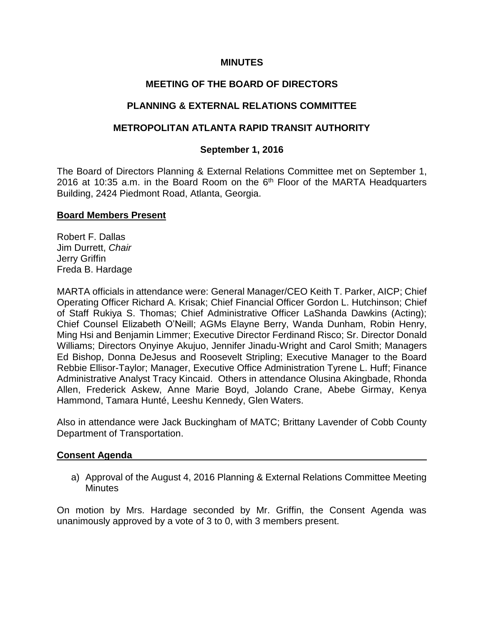## **MINUTES**

## **MEETING OF THE BOARD OF DIRECTORS**

## **PLANNING & EXTERNAL RELATIONS COMMITTEE**

## **METROPOLITAN ATLANTA RAPID TRANSIT AUTHORITY**

## **September 1, 2016**

The Board of Directors Planning & External Relations Committee met on September 1, 2016 at 10:35 a.m. in the Board Room on the  $6<sup>th</sup>$  Floor of the MARTA Headquarters Building, 2424 Piedmont Road, Atlanta, Georgia.

#### **Board Members Present**

Robert F. Dallas Jim Durrett, *Chair*  Jerry Griffin Freda B. Hardage

MARTA officials in attendance were: General Manager/CEO Keith T. Parker, AICP; Chief Operating Officer Richard A. Krisak; Chief Financial Officer Gordon L. Hutchinson; Chief of Staff Rukiya S. Thomas; Chief Administrative Officer LaShanda Dawkins (Acting); Chief Counsel Elizabeth O'Neill; AGMs Elayne Berry, Wanda Dunham, Robin Henry, Ming Hsi and Benjamin Limmer; Executive Director Ferdinand Risco; Sr. Director Donald Williams; Directors Onyinye Akujuo, Jennifer Jinadu-Wright and Carol Smith; Managers Ed Bishop, Donna DeJesus and Roosevelt Stripling; Executive Manager to the Board Rebbie Ellisor-Taylor; Manager, Executive Office Administration Tyrene L. Huff; Finance Administrative Analyst Tracy Kincaid. Others in attendance Olusina Akingbade, Rhonda Allen, Frederick Askew, Anne Marie Boyd, Jolando Crane, Abebe Girmay, Kenya Hammond, Tamara Hunté, Leeshu Kennedy, Glen Waters.

Also in attendance were Jack Buckingham of MATC; Brittany Lavender of Cobb County Department of Transportation.

#### **Consent Agenda**

a) Approval of the August 4, 2016 Planning & External Relations Committee Meeting **Minutes** 

On motion by Mrs. Hardage seconded by Mr. Griffin, the Consent Agenda was unanimously approved by a vote of 3 to 0, with 3 members present.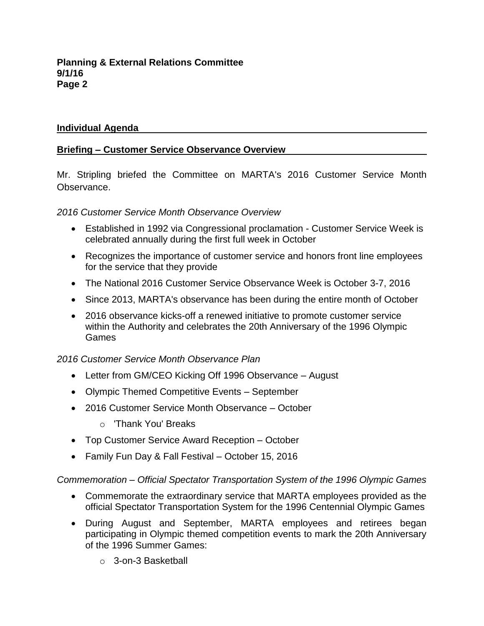# **Individual Agenda**

# **Briefing – Customer Service Observance Overview**

Mr. Stripling briefed the Committee on MARTA's 2016 Customer Service Month Observance.

## *2016 Customer Service Month Observance Overview*

- Established in 1992 via Congressional proclamation Customer Service Week is celebrated annually during the first full week in October
- Recognizes the importance of customer service and honors front line employees for the service that they provide
- The National 2016 Customer Service Observance Week is October 3-7, 2016
- Since 2013, MARTA's observance has been during the entire month of October
- 2016 observance kicks-off a renewed initiative to promote customer service within the Authority and celebrates the 20th Anniversary of the 1996 Olympic Games

## *2016 Customer Service Month Observance Plan*

- Letter from GM/CEO Kicking Off 1996 Observance August
- Olympic Themed Competitive Events September
- 2016 Customer Service Month Observance October
	- o 'Thank You' Breaks
- Top Customer Service Award Reception October
- Family Fun Day & Fall Festival October 15, 2016

## *Commemoration – Official Spectator Transportation System of the 1996 Olympic Games*

- Commemorate the extraordinary service that MARTA employees provided as the official Spectator Transportation System for the 1996 Centennial Olympic Games
- During August and September, MARTA employees and retirees began participating in Olympic themed competition events to mark the 20th Anniversary of the 1996 Summer Games:
	- o 3-on-3 Basketball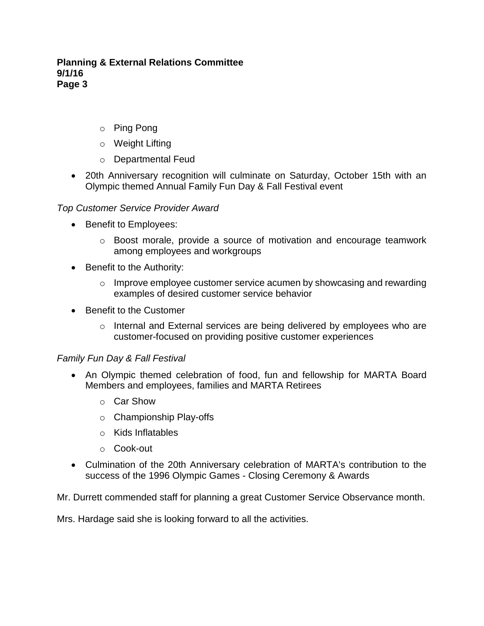- o Ping Pong
- o Weight Lifting
- o Departmental Feud
- 20th Anniversary recognition will culminate on Saturday, October 15th with an Olympic themed Annual Family Fun Day & Fall Festival event

*Top Customer Service Provider Award*

- Benefit to Employees:
	- o Boost morale, provide a source of motivation and encourage teamwork among employees and workgroups
- Benefit to the Authority:
	- $\circ$  Improve employee customer service acumen by showcasing and rewarding examples of desired customer service behavior
- Benefit to the Customer
	- o Internal and External services are being delivered by employees who are customer-focused on providing positive customer experiences

## *Family Fun Day & Fall Festival*

- An Olympic themed celebration of food, fun and fellowship for MARTA Board Members and employees, families and MARTA Retirees
	- o Car Show
	- o Championship Play-offs
	- o Kids Inflatables
	- o Cook-out
- Culmination of the 20th Anniversary celebration of MARTA's contribution to the success of the 1996 Olympic Games - Closing Ceremony & Awards

Mr. Durrett commended staff for planning a great Customer Service Observance month.

Mrs. Hardage said she is looking forward to all the activities.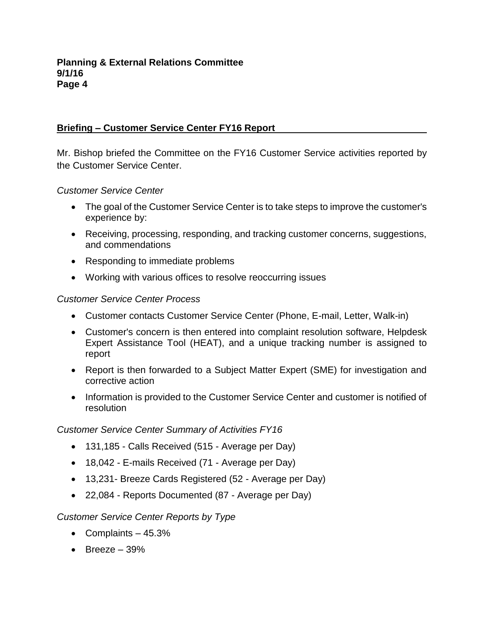# **Briefing – Customer Service Center FY16 Report**

Mr. Bishop briefed the Committee on the FY16 Customer Service activities reported by the Customer Service Center.

# *Customer Service Center*

- The goal of the Customer Service Center is to take steps to improve the customer's experience by:
- Receiving, processing, responding, and tracking customer concerns, suggestions, and commendations
- Responding to immediate problems
- Working with various offices to resolve reoccurring issues

## *Customer Service Center Process*

- Customer contacts Customer Service Center (Phone, E-mail, Letter, Walk-in)
- Customer's concern is then entered into complaint resolution software, Helpdesk Expert Assistance Tool (HEAT), and a unique tracking number is assigned to report
- Report is then forwarded to a Subject Matter Expert (SME) for investigation and corrective action
- Information is provided to the Customer Service Center and customer is notified of resolution

## *Customer Service Center Summary of Activities FY16*

- 131,185 Calls Received (515 Average per Day)
- 18,042 E-mails Received (71 Average per Day)
- 13,231- Breeze Cards Registered (52 Average per Day)
- 22,084 Reports Documented (87 Average per Day)

## *Customer Service Center Reports by Type*

- Complaints  $-45.3%$
- $\bullet$  Breeze 39%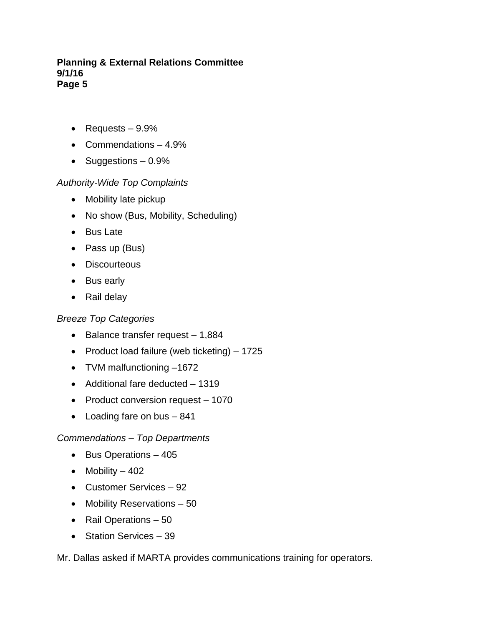- Requests  $-9.9%$
- Commendations 4.9%
- $\bullet$  Suggestions  $-0.9\%$

# *Authority-Wide Top Complaints*

- Mobility late pickup
- No show (Bus, Mobility, Scheduling)
- Bus Late
- Pass up (Bus)
- Discourteous
- Bus early
- Rail delay

## *Breeze Top Categories*

- $\bullet$  Balance transfer request  $-1,884$
- Product load failure (web ticketing) 1725
- TVM malfunctioning –1672
- Additional fare deducted 1319
- Product conversion request 1070
- Loading fare on bus 841

## *Commendations – Top Departments*

- Bus Operations 405
- $\bullet$  Mobility  $-402$
- Customer Services 92
- Mobility Reservations 50
- Rail Operations 50
- Station Services 39

Mr. Dallas asked if MARTA provides communications training for operators.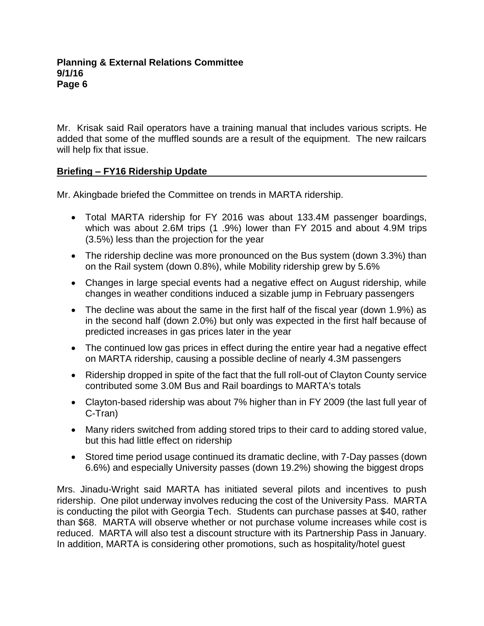Mr. Krisak said Rail operators have a training manual that includes various scripts. He added that some of the muffled sounds are a result of the equipment. The new railcars will help fix that issue.

# **Briefing – FY16 Ridership Update**

Mr. Akingbade briefed the Committee on trends in MARTA ridership.

- Total MARTA ridership for FY 2016 was about 133.4M passenger boardings, which was about 2.6M trips (1 .9%) lower than FY 2015 and about 4.9M trips (3.5%) less than the projection for the year
- The ridership decline was more pronounced on the Bus system (down 3.3%) than on the Rail system (down 0.8%), while Mobility ridership grew by 5.6%
- Changes in large special events had a negative effect on August ridership, while changes in weather conditions induced a sizable jump in February passengers
- The decline was about the same in the first half of the fiscal year (down 1.9%) as in the second half (down 2.0%) but only was expected in the first half because of predicted increases in gas prices later in the year
- The continued low gas prices in effect during the entire year had a negative effect on MARTA ridership, causing a possible decline of nearly 4.3M passengers
- Ridership dropped in spite of the fact that the full roll-out of Clayton County service contributed some 3.0M Bus and Rail boardings to MARTA's totals
- Clayton-based ridership was about 7% higher than in FY 2009 (the last full year of C-Tran)
- Many riders switched from adding stored trips to their card to adding stored value, but this had little effect on ridership
- Stored time period usage continued its dramatic decline, with 7-Day passes (down 6.6%) and especially University passes (down 19.2%) showing the biggest drops

Mrs. Jinadu-Wright said MARTA has initiated several pilots and incentives to push ridership. One pilot underway involves reducing the cost of the University Pass. MARTA is conducting the pilot with Georgia Tech. Students can purchase passes at \$40, rather than \$68. MARTA will observe whether or not purchase volume increases while cost is reduced. MARTA will also test a discount structure with its Partnership Pass in January. In addition, MARTA is considering other promotions, such as hospitality/hotel guest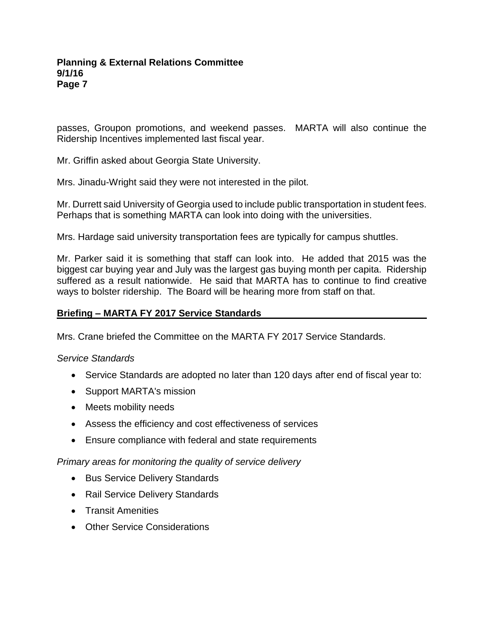passes, Groupon promotions, and weekend passes. MARTA will also continue the Ridership Incentives implemented last fiscal year.

Mr. Griffin asked about Georgia State University.

Mrs. Jinadu-Wright said they were not interested in the pilot.

Mr. Durrett said University of Georgia used to include public transportation in student fees. Perhaps that is something MARTA can look into doing with the universities.

Mrs. Hardage said university transportation fees are typically for campus shuttles.

Mr. Parker said it is something that staff can look into. He added that 2015 was the biggest car buying year and July was the largest gas buying month per capita. Ridership suffered as a result nationwide. He said that MARTA has to continue to find creative ways to bolster ridership. The Board will be hearing more from staff on that.

## **Briefing – MARTA FY 2017 Service Standards**

Mrs. Crane briefed the Committee on the MARTA FY 2017 Service Standards.

*Service Standards*

- Service Standards are adopted no later than 120 days after end of fiscal year to:
- Support MARTA's mission
- Meets mobility needs
- Assess the efficiency and cost effectiveness of services
- Ensure compliance with federal and state requirements

*Primary areas for monitoring the quality of service delivery*

- Bus Service Delivery Standards
- Rail Service Delivery Standards
- Transit Amenities
- Other Service Considerations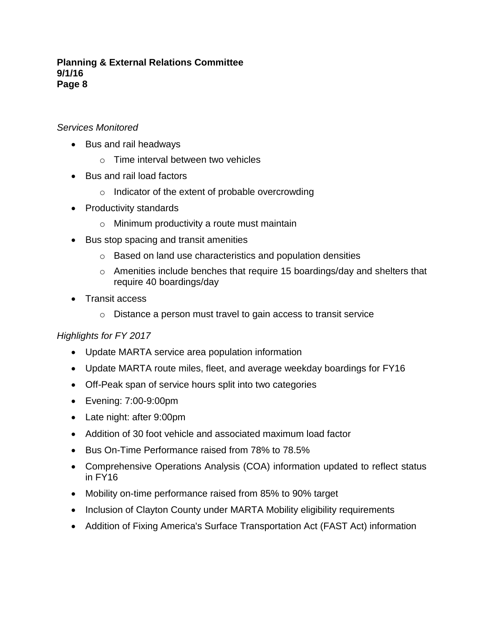# *Services Monitored*

- Bus and rail headways
	- o Time interval between two vehicles
- Bus and rail load factors
	- $\circ$  Indicator of the extent of probable overcrowding
- Productivity standards
	- o Minimum productivity a route must maintain
- Bus stop spacing and transit amenities
	- o Based on land use characteristics and population densities
	- $\circ$  Amenities include benches that require 15 boardings/day and shelters that require 40 boardings/day
- Transit access
	- o Distance a person must travel to gain access to transit service

# *Highlights for FY 2017*

- Update MARTA service area population information
- Update MARTA route miles, fleet, and average weekday boardings for FY16
- Off-Peak span of service hours split into two categories
- Evening: 7:00-9:00pm
- Late night: after 9:00pm
- Addition of 30 foot vehicle and associated maximum load factor
- Bus On-Time Performance raised from 78% to 78.5%
- Comprehensive Operations Analysis (COA) information updated to reflect status in FY16
- Mobility on-time performance raised from 85% to 90% target
- Inclusion of Clayton County under MARTA Mobility eligibility requirements
- Addition of Fixing America's Surface Transportation Act (FAST Act) information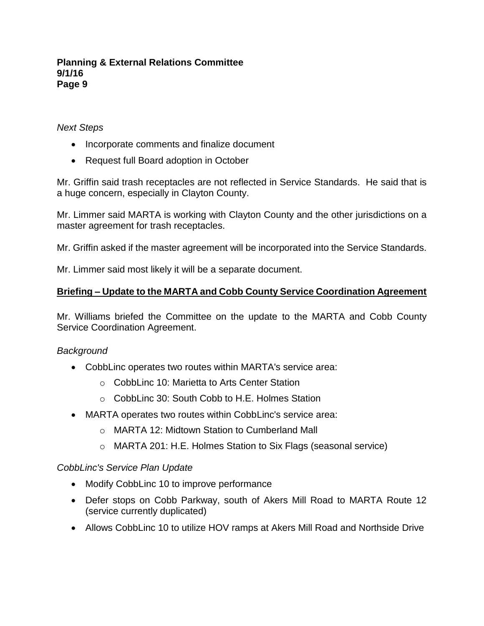## *Next Steps*

- Incorporate comments and finalize document
- Request full Board adoption in October

Mr. Griffin said trash receptacles are not reflected in Service Standards. He said that is a huge concern, especially in Clayton County.

Mr. Limmer said MARTA is working with Clayton County and the other jurisdictions on a master agreement for trash receptacles.

Mr. Griffin asked if the master agreement will be incorporated into the Service Standards.

Mr. Limmer said most likely it will be a separate document.

# **Briefing – Update to the MARTA and Cobb County Service Coordination Agreement**

Mr. Williams briefed the Committee on the update to the MARTA and Cobb County Service Coordination Agreement.

## *Background*

- CobbLinc operates two routes within MARTA's service area:
	- o CobbLinc 10: Marietta to Arts Center Station
	- o CobbLinc 30: South Cobb to H.E. Holmes Station
- MARTA operates two routes within CobbLinc's service area:
	- o MARTA 12: Midtown Station to Cumberland Mall
	- o MARTA 201: H.E. Holmes Station to Six Flags (seasonal service)

## *CobbLinc's Service Plan Update*

- Modify CobbLinc 10 to improve performance
- Defer stops on Cobb Parkway, south of Akers Mill Road to MARTA Route 12 (service currently duplicated)
- Allows CobbLinc 10 to utilize HOV ramps at Akers Mill Road and Northside Drive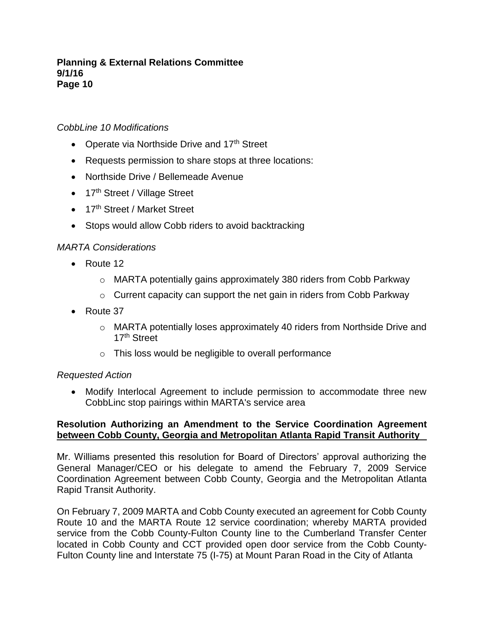## *CobbLine 10 Modifications*

- Operate via Northside Drive and  $17<sup>th</sup>$  Street
- Requests permission to share stops at three locations:
- Northside Drive / Bellemeade Avenue
- 17<sup>th</sup> Street / Village Street
- 17<sup>th</sup> Street / Market Street
- Stops would allow Cobb riders to avoid backtracking

## *MARTA Considerations*

- Route 12
	- $\circ$  MARTA potentially gains approximately 380 riders from Cobb Parkway
	- o Current capacity can support the net gain in riders from Cobb Parkway
- Route 37
	- o MARTA potentially loses approximately 40 riders from Northside Drive and 17<sup>th</sup> Street
	- o This loss would be negligible to overall performance

## *Requested Action*

 Modify Interlocal Agreement to include permission to accommodate three new CobbLinc stop pairings within MARTA's service area

## **Resolution Authorizing an Amendment to the Service Coordination Agreement between Cobb County, Georgia and Metropolitan Atlanta Rapid Transit Authority**

Mr. Williams presented this resolution for Board of Directors' approval authorizing the General Manager/CEO or his delegate to amend the February 7, 2009 Service Coordination Agreement between Cobb County, Georgia and the Metropolitan Atlanta Rapid Transit Authority.

On February 7, 2009 MARTA and Cobb County executed an agreement for Cobb County Route 10 and the MARTA Route 12 service coordination; whereby MARTA provided service from the Cobb County-Fulton County line to the Cumberland Transfer Center located in Cobb County and CCT provided open door service from the Cobb County-Fulton County line and Interstate 75 (I-75) at Mount Paran Road in the City of Atlanta